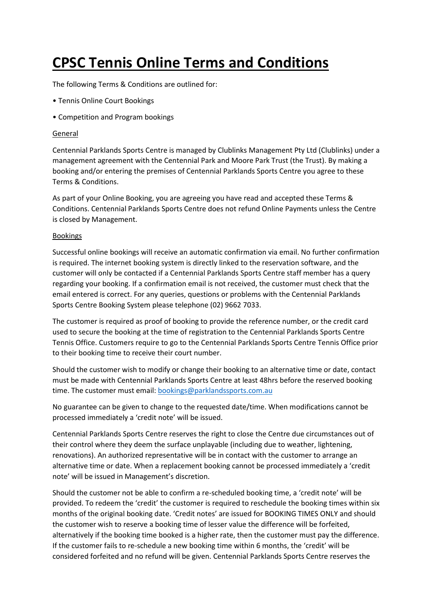# **CPSC Tennis Online Terms and Conditions**

The following Terms & Conditions are outlined for:

- Tennis Online Court Bookings
- Competition and Program bookings

#### General

Centennial Parklands Sports Centre is managed by Clublinks Management Pty Ltd (Clublinks) under a management agreement with the Centennial Park and Moore Park Trust (the Trust). By making a booking and/or entering the premises of Centennial Parklands Sports Centre you agree to these Terms & Conditions.

As part of your Online Booking, you are agreeing you have read and accepted these Terms & Conditions. Centennial Parklands Sports Centre does not refund Online Payments unless the Centre is closed by Management.

## Bookings

Successful online bookings will receive an automatic confirmation via email. No further confirmation is required. The internet booking system is directly linked to the reservation software, and the customer will only be contacted if a Centennial Parklands Sports Centre staff member has a query regarding your booking. If a confirmation email is not received, the customer must check that the email entered is correct. For any queries, questions or problems with the Centennial Parklands Sports Centre Booking System please telephone (02) 9662 7033.

The customer is required as proof of booking to provide the reference number, or the credit card used to secure the booking at the time of registration to the Centennial Parklands Sports Centre Tennis Office. Customers require to go to the Centennial Parklands Sports Centre Tennis Office prior to their booking time to receive their court number.

Should the customer wish to modify or change their booking to an alternative time or date, contact must be made with Centennial Parklands Sports Centre at least 48hrs before the reserved booking time. The customer must email: [bookings@parklandssports.com.au](mailto:bookings@parklandssports.com.au)

No guarantee can be given to change to the requested date/time. When modifications cannot be processed immediately a 'credit note' will be issued.

Centennial Parklands Sports Centre reserves the right to close the Centre due circumstances out of their control where they deem the surface unplayable (including due to weather, lightening, renovations). An authorized representative will be in contact with the customer to arrange an alternative time or date. When a replacement booking cannot be processed immediately a 'credit note' will be issued in Management's discretion.

Should the customer not be able to confirm a re-scheduled booking time, a 'credit note' will be provided. To redeem the 'credit' the customer is required to reschedule the booking times within six months of the original booking date. 'Credit notes' are issued for BOOKING TIMES ONLY and should the customer wish to reserve a booking time of lesser value the difference will be forfeited, alternatively if the booking time booked is a higher rate, then the customer must pay the difference. If the customer fails to re-schedule a new booking time within 6 months, the 'credit' will be considered forfeited and no refund will be given. Centennial Parklands Sports Centre reserves the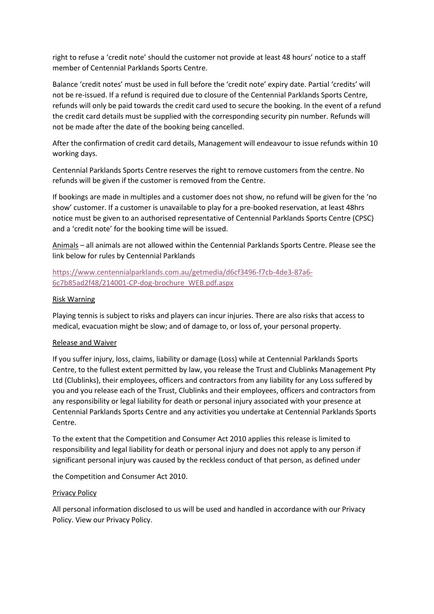right to refuse a 'credit note' should the customer not provide at least 48 hours' notice to a staff member of Centennial Parklands Sports Centre.

Balance 'credit notes' must be used in full before the 'credit note' expiry date. Partial 'credits' will not be re-issued. If a refund is required due to closure of the Centennial Parklands Sports Centre, refunds will only be paid towards the credit card used to secure the booking. In the event of a refund the credit card details must be supplied with the corresponding security pin number. Refunds will not be made after the date of the booking being cancelled.

After the confirmation of credit card details, Management will endeavour to issue refunds within 10 working days.

Centennial Parklands Sports Centre reserves the right to remove customers from the centre. No refunds will be given if the customer is removed from the Centre.

If bookings are made in multiples and a customer does not show, no refund will be given for the 'no show' customer. If a customer is unavailable to play for a pre-booked reservation, at least 48hrs notice must be given to an authorised representative of Centennial Parklands Sports Centre (CPSC) and a 'credit note' for the booking time will be issued.

Animals – all animals are not allowed within the Centennial Parklands Sports Centre. Please see the link below for rules by Centennial Parklands

# [https://www.centennialparklands.com.au/getmedia/d6cf3496-f7cb-4de3-87a6-](https://www.centennialparklands.com.au/getmedia/d6cf3496-f7cb-4de3-87a6-6c7b85ad2f48/214001-CP-dog-brochure_WEB.pdf.aspx) [6c7b85ad2f48/214001-CP-dog-brochure\\_WEB.pdf.aspx](https://www.centennialparklands.com.au/getmedia/d6cf3496-f7cb-4de3-87a6-6c7b85ad2f48/214001-CP-dog-brochure_WEB.pdf.aspx)

## Risk Warning

Playing tennis is subject to risks and players can incur injuries. There are also risks that access to medical, evacuation might be slow; and of damage to, or loss of, your personal property.

#### Release and Waiver

If you suffer injury, loss, claims, liability or damage (Loss) while at Centennial Parklands Sports Centre, to the fullest extent permitted by law, you release the Trust and Clublinks Management Pty Ltd (Clublinks), their employees, officers and contractors from any liability for any Loss suffered by you and you release each of the Trust, Clublinks and their employees, officers and contractors from any responsibility or legal liability for death or personal injury associated with your presence at Centennial Parklands Sports Centre and any activities you undertake at Centennial Parklands Sports Centre.

To the extent that the Competition and Consumer Act 2010 applies this release is limited to responsibility and legal liability for death or personal injury and does not apply to any person if significant personal injury was caused by the reckless conduct of that person, as defined under

the Competition and Consumer Act 2010.

#### Privacy Policy

All personal information disclosed to us will be used and handled in accordance with our Privacy Policy. View our Privacy Policy.